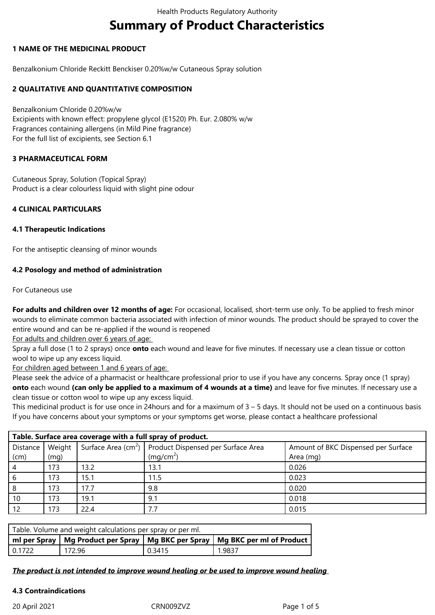# **Summary of Product Characteristics**

### **1 NAME OF THE MEDICINAL PRODUCT**

Benzalkonium Chloride Reckitt Benckiser 0.20%w/w Cutaneous Spray solution

### **2 QUALITATIVE AND QUANTITATIVE COMPOSITION**

Benzalkonium Chloride 0.20%w/w Excipients with known effect: propylene glycol (E1520) Ph. Eur. 2.080% w/w Fragrances containing allergens (in Mild Pine fragrance) For the full list of excipients, see Section 6.1

## **3 PHARMACEUTICAL FORM**

Cutaneous Spray, Solution (Topical Spray) Product is a clear colourless liquid with slight pine odour

### **4 CLINICAL PARTICULARS**

#### **4.1 Therapeutic Indications**

For the antiseptic cleansing of minor wounds

### **4.2 Posology and method of administration**

For Cutaneous use

**For adults and children over 12 months of age:** For occasional, localised, short-term use only. To be applied to fresh minor wounds to eliminate common bacteria associated with infection of minor wounds. The product should be sprayed to cover the entire wound and can be re-applied if the wound is reopened

For adults and children over 6 years of age:

Spray a full dose (1 to 2 sprays) once **onto** each wound and leave for five minutes. If necessary use a clean tissue or cotton wool to wipe up any excess liquid.

For children aged between 1 and 6 years of age:

Please seek the advice of a pharmacist or healthcare professional prior to use if you have any concerns. Spray once (1 spray) **onto** each wound **(can only be applied to a maximum of 4 wounds at a time)** and leave for five minutes. If necessary use a clean tissue or cotton wool to wipe up any excess liquid.

This medicinal product is for use once in 24hours and for a maximum of 3 – 5 days. It should not be used on a continuous basis If you have concerns about your symptoms or your symptoms get worse, please contact a healthcare professional

| Table. Surface area coverage with a full spray of product. |        |      |                                                                                                           |           |  |  |  |  |
|------------------------------------------------------------|--------|------|-----------------------------------------------------------------------------------------------------------|-----------|--|--|--|--|
| Distance                                                   | Weight |      | Surface Area (cm <sup>2</sup> ) Product Dispensed per Surface Area<br>Amount of BKC Dispensed per Surface |           |  |  |  |  |
| (cm)                                                       | (mg)   |      | (mq/cm <sup>2</sup> )                                                                                     | Area (mg) |  |  |  |  |
|                                                            | 173    | 13.2 | 13.1                                                                                                      | 0.026     |  |  |  |  |
|                                                            | 173    | 15.1 | 11.5                                                                                                      | 0.023     |  |  |  |  |
| 8                                                          | 173    | 17.7 | 9.8                                                                                                       | 0.020     |  |  |  |  |
| 10                                                         | 173    | 19.1 | 9.1                                                                                                       | 0.018     |  |  |  |  |
| 12                                                         | 173    | 22.4 | 7.7                                                                                                       | 0.015     |  |  |  |  |

| Table. Volume and weight calculations per spray or per ml.                        |        |        |        |  |  |  |  |  |
|-----------------------------------------------------------------------------------|--------|--------|--------|--|--|--|--|--|
| ml per Spray   Mg Product per Spray   Mg BKC per Spray   Mg BKC per ml of Product |        |        |        |  |  |  |  |  |
| l 0.1722                                                                          | 172.96 | 0.3415 | 1.9837 |  |  |  |  |  |

*The product is not intended to improve wound healing or be used to improve wound healing* 

#### **4.3 Contraindications**

20 April 2021 CRN009ZVZ Page 1 of 5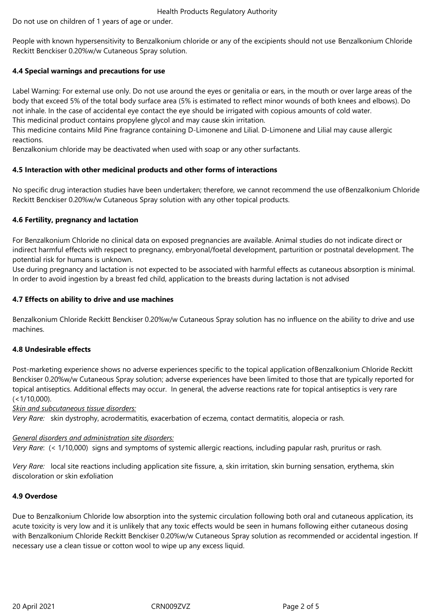Health Products Regulatory Authority

Do not use on children of 1 years of age or under.

People with known hypersensitivity to Benzalkonium chloride or any of the excipients should not use Benzalkonium Chloride Reckitt Benckiser 0.20%w/w Cutaneous Spray solution.

# **4.4 Special warnings and precautions for use**

Label Warning: For external use only. Do not use around the eyes or genitalia or ears, in the mouth or over large areas of the body that exceed 5% of the total body surface area (5% is estimated to reflect minor wounds of both knees and elbows). Do not inhale. In the case of accidental eye contact the eye should be irrigated with copious amounts of cold water. This medicinal product contains propylene glycol and may cause skin irritation.

This medicine contains Mild Pine fragrance containing D-Limonene and Lilial. D-Limonene and Lilial may cause allergic reactions.

Benzalkonium chloride may be deactivated when used with soap or any other surfactants.

# **4.5 Interaction with other medicinal products and other forms of interactions**

No specific drug interaction studies have been undertaken; therefore, we cannot recommend the use ofBenzalkonium Chloride Reckitt Benckiser 0.20%w/w Cutaneous Spray solution with any other topical products.

# **4.6 Fertility, pregnancy and lactation**

For Benzalkonium Chloride no clinical data on exposed pregnancies are available. Animal studies do not indicate direct or indirect harmful effects with respect to pregnancy, embryonal/foetal development, parturition or postnatal development. The potential risk for humans is unknown.

Use during pregnancy and lactation is not expected to be associated with harmful effects as cutaneous absorption is minimal. In order to avoid ingestion by a breast fed child, application to the breasts during lactation is not advised

# **4.7 Effects on ability to drive and use machines**

Benzalkonium Chloride Reckitt Benckiser 0.20%w/w Cutaneous Spray solution has no influence on the ability to drive and use machines.

# **4.8 Undesirable effects**

Post-marketing experience shows no adverse experiences specific to the topical application ofBenzalkonium Chloride Reckitt Benckiser 0.20%w/w Cutaneous Spray solution; adverse experiences have been limited to those that are typically reported for topical antiseptics. Additional effects may occur. In general, the adverse reactions rate for topical antiseptics is very rare  $(<1/10,000)$ .

*Skin and subcutaneous tissue disorders:*

*Very Rare:* skin dystrophy, acrodermatitis, exacerbation of eczema, contact dermatitis, alopecia or rash.

# *General disorders and administration site disorders:*

*Very Rare*: (< 1/10,000)signs and symptoms of systemic allergic reactions, including papular rash, pruritus or rash.

*Very Rare:* local site reactions including application site fissure, a, skin irritation, skin burning sensation, erythema, skin discoloration or skin exfoliation

# **4.9 Overdose**

Due to Benzalkonium Chloride low absorption into the systemic circulation following both oral and cutaneous application, its acute toxicity is very low and it is unlikely that any toxic effects would be seen in humans following either cutaneous dosing with Benzalkonium Chloride Reckitt Benckiser 0.20%w/w Cutaneous Spray solution as recommended or accidental ingestion. If necessary use a clean tissue or cotton wool to wipe up any excess liquid.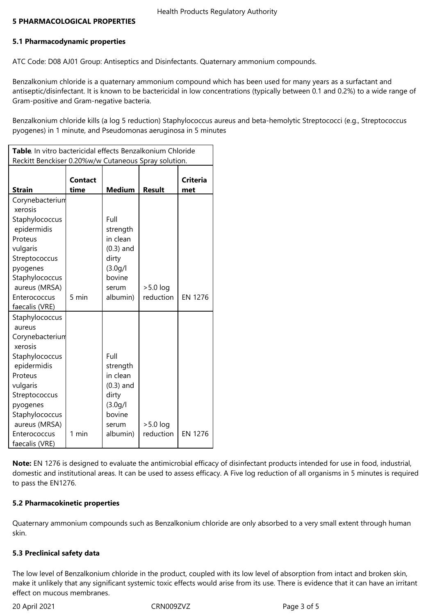# **5.1 Pharmacodynamic properties**

ATC Code: D08 AJ01 Group: Antiseptics and Disinfectants. Quaternary ammonium compounds.

Benzalkonium chloride is a quaternary ammonium compound which has been used for many years as a surfactant and antiseptic/disinfectant. It is known to be bactericidal in low concentrations (typically between 0.1 and 0.2%) to a wide range of Gram-positive and Gram-negative bacteria.

Benzalkonium chloride kills (a log 5 reduction) Staphylococcus aureus and beta-hemolytic Streptococci (e.g., Streptococcus pyogenes) in 1 minute, and Pseudomonas aeruginosa in 5 minutes

| Table. In vitro bactericidal effects Benzalkonium Chloride                                                                                                                                                       |                 |                                                                                                 |                         |                        |  |  |  |  |  |
|------------------------------------------------------------------------------------------------------------------------------------------------------------------------------------------------------------------|-----------------|-------------------------------------------------------------------------------------------------|-------------------------|------------------------|--|--|--|--|--|
| Reckitt Benckiser 0.20%w/w Cutaneous Spray solution.                                                                                                                                                             |                 |                                                                                                 |                         |                        |  |  |  |  |  |
| <b>Strain</b>                                                                                                                                                                                                    | Contact<br>time | <b>Medium</b>                                                                                   | <b>Result</b>           | <b>Criteria</b><br>met |  |  |  |  |  |
| Corynebacterium<br>xerosis<br>Staphylococcus<br>epidermidis<br>Proteus<br>vulgaris<br>Streptococcus<br>pyogenes<br>Staphylococcus<br>aureus (MRSA)<br>Enterococcus<br>faecalis (VRE)                             | 5 min           | Full<br>strength<br>in clean<br>$(0.3)$ and<br>dirty<br>(3.0q/l)<br>bovine<br>serum<br>albumin) | $>5.0$ log<br>reduction | <b>EN 1276</b>         |  |  |  |  |  |
| Staphylococcus<br>aureus<br>Corynebacterium<br>xerosis<br>Staphylococcus<br>epidermidis<br>Proteus<br>vulgaris<br>Streptococcus<br>pyogenes<br>Staphylococcus<br>aureus (MRSA)<br>Enterococcus<br>faecalis (VRE) | 1 min           | Full<br>strength<br>in clean<br>$(0.3)$ and<br>dirty<br>(3.0q/l)<br>bovine<br>serum<br>albumin) | $>5.0$ log<br>reduction | <b>EN 1276</b>         |  |  |  |  |  |

**Note:** EN 1276 is designed to evaluate the antimicrobial efficacy of disinfectant products intended for use in food, industrial, domestic and institutional areas. It can be used to assess efficacy. A Five log reduction of all organisms in 5 minutes is required to pass the EN1276.

# **5.2 Pharmacokinetic properties**

Quaternary ammonium compounds such as Benzalkonium chloride are only absorbed to a very small extent through human skin.

# **5.3 Preclinical safety data**

The low level of Benzalkonium chloride in the product, coupled with its low level of absorption from intact and broken skin, make it unlikely that any significant systemic toxic effects would arise from its use. There is evidence that it can have an irritant effect on mucous membranes.

20 April 2021 CRN009ZVZ Page 3 of 5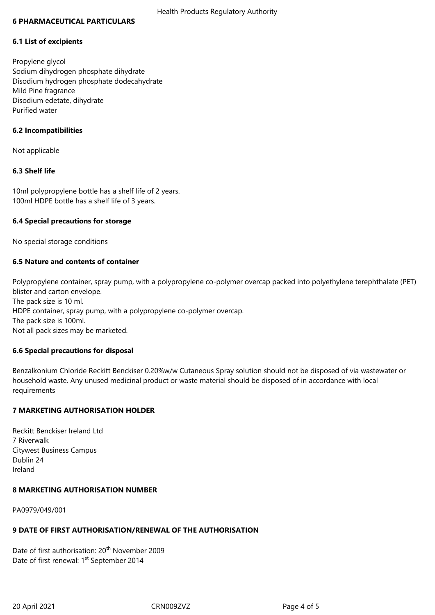#### **6 PHARMACEUTICAL PARTICULARS**

#### **6.1 List of excipients**

Propylene glycol Sodium dihydrogen phosphate dihydrate Disodium hydrogen phosphate dodecahydrate Mild Pine fragrance Disodium edetate, dihydrate Purified water

#### **6.2 Incompatibilities**

Not applicable

# **6.3 Shelf life**

10ml polypropylene bottle has a shelf life of 2 years. 100ml HDPE bottle has a shelf life of 3 years.

### **6.4 Special precautions for storage**

No special storage conditions

### **6.5 Nature and contents of container**

Polypropylene container, spray pump, with a polypropylene co-polymer overcap packed into polyethylene terephthalate (PET) blister and carton envelope. The pack size is 10 ml. HDPE container, spray pump, with a polypropylene co-polymer overcap. The pack size is 100ml. Not all pack sizes may be marketed.

#### **6.6 Special precautions for disposal**

Benzalkonium Chloride Reckitt Benckiser 0.20%w/w Cutaneous Spray solution should not be disposed of via wastewater or household waste. Any unused medicinal product or waste material should be disposed of in accordance with local requirements

# **7 MARKETING AUTHORISATION HOLDER**

Reckitt Benckiser Ireland Ltd 7 Riverwalk Citywest Business Campus Dublin 24 Ireland

#### **8 MARKETING AUTHORISATION NUMBER**

PA0979/049/001

#### **9 DATE OF FIRST AUTHORISATION/RENEWAL OF THE AUTHORISATION**

Date of first authorisation: 20<sup>th</sup> November 2009 Date of first renewal: 1<sup>st</sup> September 2014